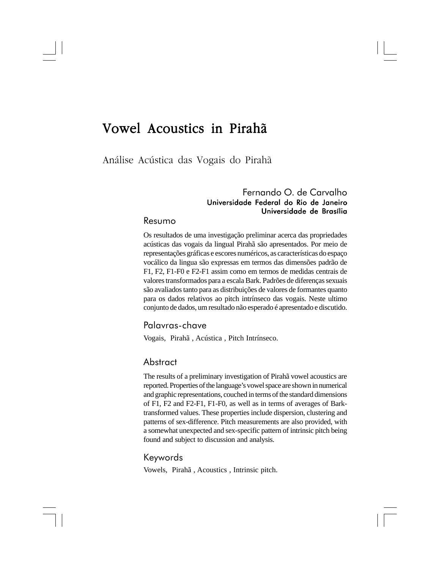# Vowel Acoustics in Pirahã

Análise Acústica das Vogais do Pirahã

### Fernando O. de Carvalho Universidade Federal do Rio de Janeiro Universidade de Brasília

#### Resumo

Os resultados de uma investigação preliminar acerca das propriedades acústicas das vogais da lingual Pirahã são apresentados. Por meio de representações gráficas e escores numéricos, as características do espaço vocálico da lingua são expressas em termos das dimensões padrão de F1, F2, F1-F0 e F2-F1 assim como em termos de medidas centrais de valores transformados para a escala Bark. Padrões de diferenças sexuais são avaliados tanto para as distribuições de valores de formantes quanto para os dados relativos ao pitch intrínseco das vogais. Neste ultimo conjunto de dados, um resultado não esperado é apresentado e discutido.

#### Palavras-chave

Vogais, Pirahã , Acústica , Pitch Intrínseco.

#### Abstract

The results of a preliminary investigation of Pirahã vowel acoustics are reported. Properties of the language's vowel space are shown in numerical and graphic representations, couched in terms of the standard dimensions of F1, F2 and F2-F1, F1-F0, as well as in terms of averages of Barktransformed values. These properties include dispersion, clustering and patterns of sex-difference. Pitch measurements are also provided, with a somewhat unexpected and sex-specific pattern of intrinsic pitch being found and subject to discussion and analysis.

#### Keywords

Vowels, Pirahã , Acoustics , Intrinsic pitch.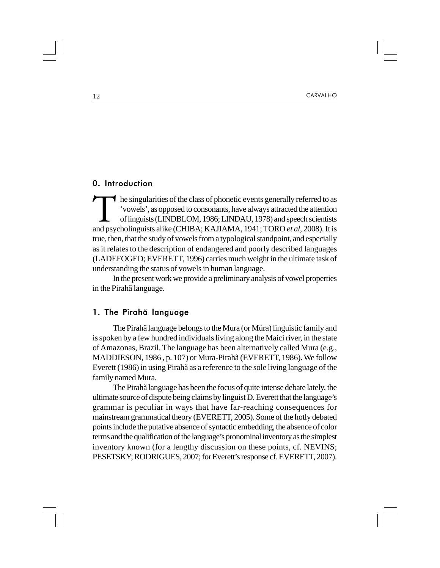#### 0. Introduction

The singularities of the class of phonetic events generally referred to as<br>
'vowels', as opposed to consonants, have always attracted the attention<br>
of linguists (LINDBLOM, 1986; LINDAU, 1978) and speech scientists<br>
and ps he singularities of the class of phonetic events generally referred to as 'vowels', as opposed to consonants, have always attracted the attention of linguists (LINDBLOM, 1986; LINDAU, 1978) and speech scientists true, then, that the study of vowels from a typological standpoint, and especially as it relates to the description of endangered and poorly described languages (LADEFOGED; EVERETT, 1996) carries much weight in the ultimate task of understanding the status of vowels in human language.

In the present work we provide a preliminary analysis of vowel properties in the Pirahã language.

#### 1. The Pirahã language

The Pirahã language belongs to the Mura (or Múra) linguistic family and is spoken by a few hundred individuals living along the Maici river, in the state of Amazonas, Brazil. The language has been alternatively called Mura (e.g., MADDIESON, 1986 , p. 107) or Mura-Pirahã (EVERETT, 1986). We follow Everett (1986) in using Pirahã as a reference to the sole living language of the family named Mura.

The Pirahã language has been the focus of quite intense debate lately, the ultimate source of dispute being claims by linguist D. Everett that the language's grammar is peculiar in ways that have far-reaching consequences for mainstream grammatical theory (EVERETT, 2005). Some of the hotly debated points include the putative absence of syntactic embedding, the absence of color terms and the qualification of the language's pronominal inventory as the simplest inventory known (for a lengthy discussion on these points, cf. NEVINS; PESETSKY; RODRIGUES, 2007; for Everett's response cf. EVERETT, 2007).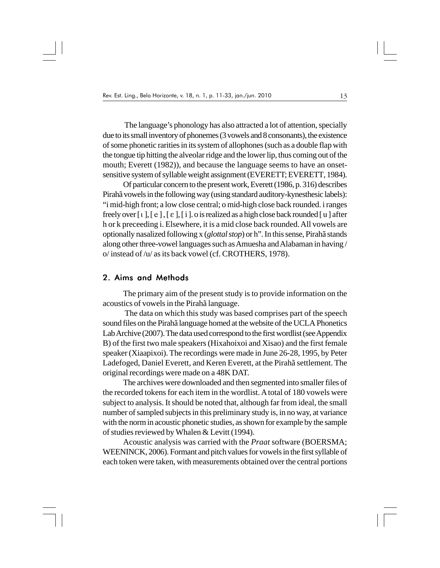The language's phonology has also attracted a lot of attention, specially due to its small inventory of phonemes (3 vowels and 8 consonants), the existence of some phonetic rarities in its system of allophones (such as a double flap with the tongue tip hitting the alveolar ridge and the lower lip, thus coming out of the mouth; Everett (1982)), and because the language seems to have an onsetsensitive system of syllable weight assignment (EVERETT; EVERETT, 1984).

Of particular concern to the present work, Everett (1986, p. 316) describes Pirahã vowels in the following way (using standard auditory-kynesthesic labels): "i mid-high front; a low close central; o mid-high close back rounded. i ranges freely over  $[i], [e], [i], o$  is realized as a high close back rounded  $[u]$  after h or k preceeding i. Elsewhere, it is a mid close back rounded. All vowels are optionally nasalized following x (*glottal stop*) or h". In this sense, Pirahã stands along other three-vowel languages such as Amuesha and Alabaman in having / o/ instead of /u/ as its back vowel (cf. CROTHERS, 1978).

#### 2. Aims and Methods

The primary aim of the present study is to provide information on the acoustics of vowels in the Pirahã language.

 The data on which this study was based comprises part of the speech sound files on the Pirahã language homed at the website of the UCLA Phonetics Lab Archive (2007). The data used correspond to the first wordlist (see Appendix B) of the first two male speakers (Hixahoixoi and Xisao) and the first female speaker (Xiaapixoi). The recordings were made in June 26-28, 1995, by Peter Ladefoged, Daniel Everett, and Keren Everett, at the Pirahã settlement. The original recordings were made on a 48K DAT.

The archives were downloaded and then segmented into smaller files of the recorded tokens for each item in the wordlist. A total of 180 vowels were subject to analysis. It should be noted that, although far from ideal, the small number of sampled subjects in this preliminary study is, in no way, at variance with the norm in acoustic phonetic studies, as shown for example by the sample of studies reviewed by Whalen & Levitt (1994).

Acoustic analysis was carried with the *Praat* software (BOERSMA; WEENINCK, 2006). Formant and pitch values for vowels in the first syllable of each token were taken, with measurements obtained over the central portions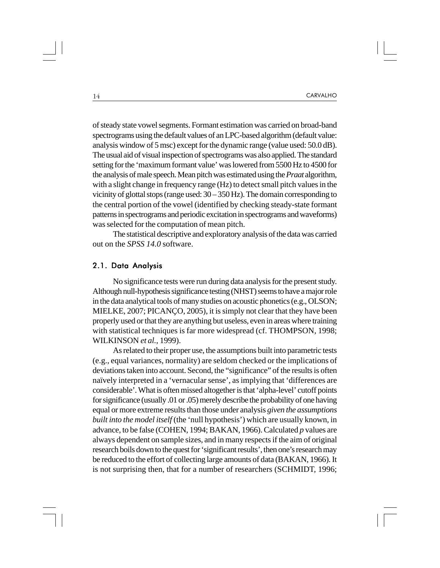of steady state vowel segments. Formant estimation was carried on broad-band spectrograms using the default values of an LPC-based algorithm (default value: analysis window of 5 msc) except for the dynamic range (value used: 50.0 dB). The usual aid of visual inspection of spectrograms was also applied. The standard setting for the 'maximum formant value' was lowered from 5500 Hz to 4500 for the analysis of male speech. Mean pitch was estimated using the *Praat* algorithm, with a slight change in frequency range (Hz) to detect small pitch values in the vicinity of glottal stops (range used: 30 – 350 Hz). The domain corresponding to the central portion of the vowel (identified by checking steady-state formant patterns in spectrograms and periodic excitation in spectrograms and waveforms) was selected for the computation of mean pitch.

The statistical descriptive and exploratory analysis of the data was carried out on the *SPSS 14.0* software.

#### 2.1. Data Analysis

No significance tests were run during data analysis for the present study. Although null-hypothesis significance testing (NHST) seems to have a major role in the data analytical tools of many studies on acoustic phonetics (e.g., OLSON; MIELKE, 2007; PICANÇO, 2005), it is simply not clear that they have been properly used or that they are anything but useless, even in areas where training with statistical techniques is far more widespread (cf. THOMPSON, 1998; WILKINSON *et al.*, 1999).

As related to their proper use, the assumptions built into parametric tests (e.g., equal variances, normality) are seldom checked or the implications of deviations taken into account. Second, the "significance" of the results is often naïvely interpreted in a 'vernacular sense', as implying that 'differences are considerable'. What is often missed altogether is that 'alpha-level' cutoff points for significance (usually .01 or .05) merely describe the probability of one having equal or more extreme results than those under analysis *given the assumptions built into the model itself* (the 'null hypothesis') which are usually known, in advance, to be false (COHEN, 1994; BAKAN, 1966). Calculated *p* values are always dependent on sample sizes, and in many respects if the aim of original research boils down to the quest for 'significant results', then one's research may be reduced to the effort of collecting large amounts of data (BAKAN, 1966). It is not surprising then, that for a number of researchers (SCHMIDT, 1996;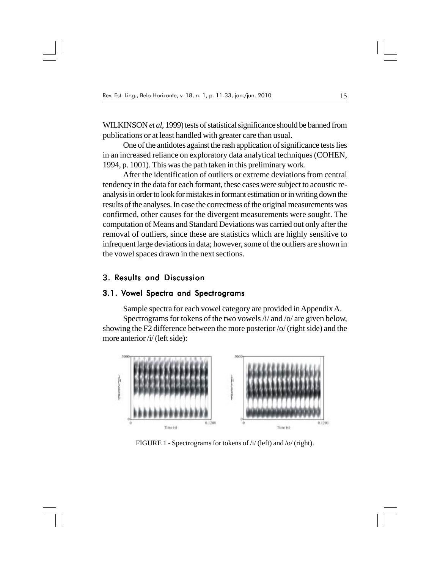WILKINSON *et al*, 1999) tests of statistical significance should be banned from publications or at least handled with greater care than usual.

One of the antidotes against the rash application of significance tests lies in an increased reliance on exploratory data analytical techniques (COHEN, 1994, p. 1001). This was the path taken in this preliminary work.

After the identification of outliers or extreme deviations from central tendency in the data for each formant, these cases were subject to acoustic reanalysis in order to look for mistakes in formant estimation or in writing down the results of the analyses. In case the correctness of the original measurements was confirmed, other causes for the divergent measurements were sought. The computation of Means and Standard Deviations was carried out only after the removal of outliers, since these are statistics which are highly sensitive to infrequent large deviations in data; however, some of the outliers are shown in the vowel spaces drawn in the next sections.

#### 3. Results and Discussion

#### 3.1. Vowel Spectra and Spectrograms

Sample spectra for each vowel category are provided in Appendix A. Spectrograms for tokens of the two vowels /i/ and /o/ are given below, showing the F2 difference between the more posterior /o/ (right side) and the more anterior /i/ (left side):



FIGURE 1 **-** Spectrograms for tokens of /i/ (left) and /o/ (right).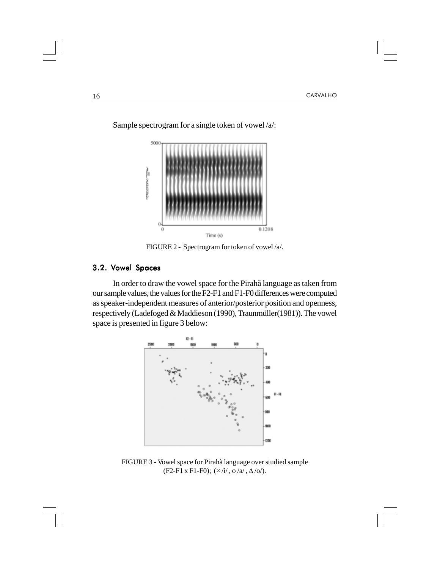

Sample spectrogram for a single token of vowel /a/:

FIGURE 2 - Spectrogram for token of vowel /a/.

#### 3.2. Vowel Spaces

In order to draw the vowel space for the Pirahã language as taken from our sample values, the values for the F2-F1 and F1-F0 differences were computed as speaker-independent measures of anterior/posterior position and openness, respectively (Ladefoged & Maddieson (1990), Traunmüller(1981)). The vowel space is presented in figure 3 below:



FIGURE 3 **-** Vowel space for Pirahã language over studied sample (F2-F1 x F1-F0);  $(\times /i/$ ,  $\frac{\partial}{\partial l}$ ,  $\Delta / \frac{\partial}{\partial l}$ .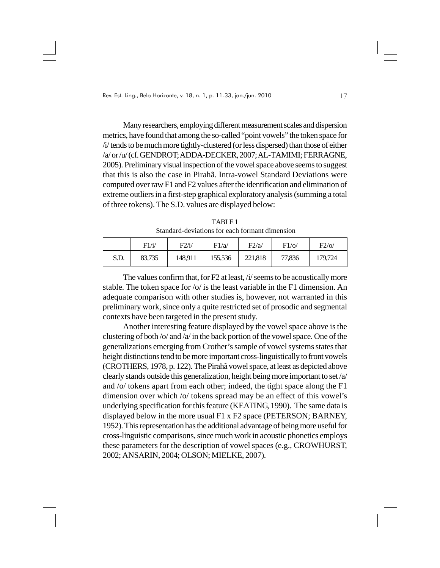Many researchers, employing different measurement scales and dispersion metrics, have found that among the so-called "point vowels" the token space for /i/ tends to be much more tightly-clustered (or less dispersed) than those of either /a/ or /u/ (cf. GENDROT; ADDA-DECKER, 2007; AL-TAMIMI; FERRAGNE, 2005). Preliminary visual inspection of the vowel space above seems to suggest that this is also the case in Pirahã. Intra-vowel Standard Deviations were computed over raw F1 and F2 values after the identification and elimination of extreme outliers in a first-step graphical exploratory analysis (summing a total of three tokens). The S.D. values are displayed below:

TABLE 1 Standard-deviations for each formant dimension

|      | F1/i/  | F2/i/   | F1/a    | F2/a/   | $F1$ /o/ | $F2$ /o/ |
|------|--------|---------|---------|---------|----------|----------|
| S.D. | 83,735 | 148,911 | 155,536 | 221,818 | 77,836   | 179,724  |

The values confirm that, for F2 at least, /i/ seems to be acoustically more stable. The token space for /o/ is the least variable in the F1 dimension. An adequate comparison with other studies is, however, not warranted in this preliminary work, since only a quite restricted set of prosodic and segmental contexts have been targeted in the present study.

Another interesting feature displayed by the vowel space above is the clustering of both /o/ and /a/ in the back portion of the vowel space. One of the generalizations emerging from Crother's sample of vowel systems states that height distinctions tend to be more important cross-linguistically to front vowels (CROTHERS, 1978, p. 122). The Pirahã vowel space, at least as depicted above clearly stands outside this generalization, height being more important to set /a/ and /o/ tokens apart from each other; indeed, the tight space along the F1 dimension over which /o/ tokens spread may be an effect of this vowel's underlying specification for this feature (KEATING, 1990). The same data is displayed below in the more usual F1 x F2 space (PETERSON; BARNEY, 1952). This representation has the additional advantage of being more useful for cross-linguistic comparisons, since much work in acoustic phonetics employs these parameters for the description of vowel spaces (e.g., CROWHURST, 2002; ANSARIN, 2004; OLSON; MIELKE, 2007).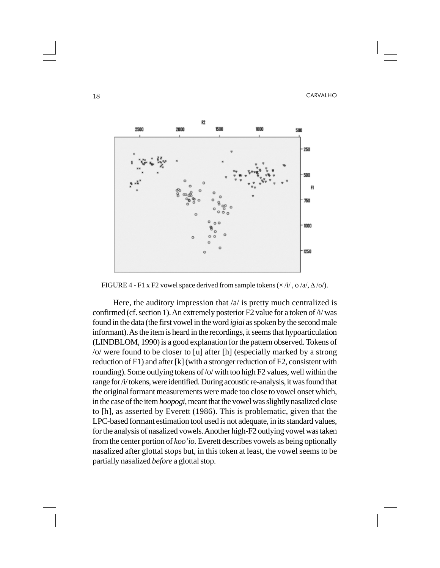

FIGURE 4 **-** F1 x F2 vowel space derived from sample tokens (× /i/ , ο /a/, Δ /o/).

Here, the auditory impression that  $\alpha$  is pretty much centralized is confirmed (cf. section 1). An extremely posterior F2 value for a token of /i/ was found in the data (the first vowel in the word *igiai* as spoken by the second male informant). As the item is heard in the recordings, it seems that hypoarticulation (LINDBLOM, 1990) is a good explanation for the pattern observed. Tokens of /o/ were found to be closer to [u] after [h] (especially marked by a strong reduction of  $F1$ ) and after [k] (with a stronger reduction of  $F2$ , consistent with rounding). Some outlying tokens of /o/ with too high F2 values, well within the range for /i/ tokens, were identified. During acoustic re-analysis, it was found that the original formant measurements were made too close to vowel onset which, in the case of the item *hoopogi*, meant that the vowel was slightly nasalized close to [h], as asserted by Everett (1986). This is problematic, given that the LPC-based formant estimation tool used is not adequate, in its standard values, for the analysis of nasalized vowels. Another high-F2 outlying vowel was taken from the center portion of *koo'io.* Everett describes vowels as being optionally nasalized after glottal stops but, in this token at least, the vowel seems to be partially nasalized *before* a glottal stop.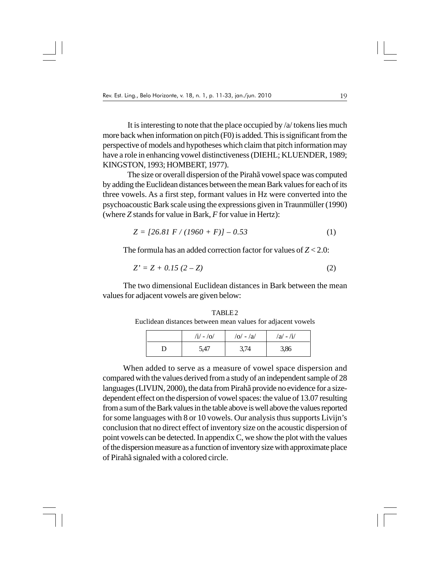It is interesting to note that the place occupied by /a/ tokens lies much more back when information on pitch (F0) is added. This is significant from the perspective of models and hypotheses which claim that pitch information may have a role in enhancing vowel distinctiveness (DIEHL; KLUENDER, 1989; KINGSTON, 1993; HOMBERT, 1977).

 The size or overall dispersion of the Pirahã vowel space was computed by adding the Euclidean distances between the mean Bark values for each of its three vowels. As a first step, formant values in Hz were converted into the psychoacoustic Bark scale using the expressions given in Traunmüller (1990) (where *Z* stands for value in Bark, *F* for value in Hertz):

$$
Z = [26.81 \ F / (1960 + F)] - 0.53 \tag{1}
$$

The formula has an added correction factor for values of *Z* < 2.0:

$$
Z' = Z + 0.15 (2 - Z)
$$
 (2)

The two dimensional Euclidean distances in Bark between the mean values for adjacent vowels are given below:

TABLE 2 Euclidean distances between mean values for adjacent vowels

| $/i/ - /o/$ | $ o  -  a $ | $/a/ - A1/$ |
|-------------|-------------|-------------|
| 5,47        | 3,74        | 3,86        |

When added to serve as a measure of vowel space dispersion and compared with the values derived from a study of an independent sample of 28 languages (LIVIJN, 2000), the data from Pirahã provide no evidence for a sizedependent effect on the dispersion of vowel spaces: the value of 13.07 resulting from a sum of the Bark values in the table above is well above the values reported for some languages with 8 or 10 vowels. Our analysis thus supports Livijn's conclusion that no direct effect of inventory size on the acoustic dispersion of point vowels can be detected. In appendix C, we show the plot with the values of the dispersion measure as a function of inventory size with approximate place of Pirahã signaled with a colored circle.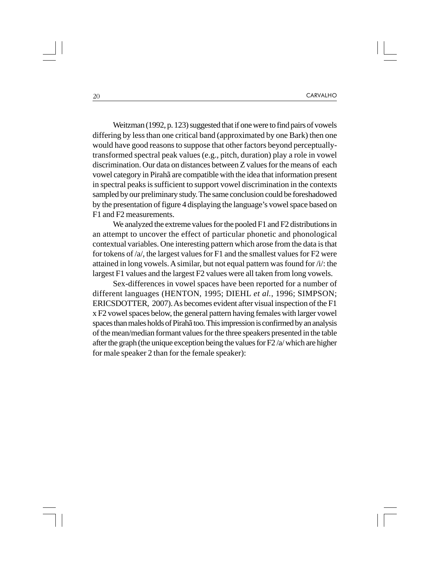Weitzman (1992, p. 123) suggested that if one were to find pairs of vowels differing by less than one critical band (approximated by one Bark) then one would have good reasons to suppose that other factors beyond perceptuallytransformed spectral peak values (e.g., pitch, duration) play a role in vowel discrimination. Our data on distances between Z values for the means of each vowel category in Pirahã are compatible with the idea that information present in spectral peaks is sufficient to support vowel discrimination in the contexts sampled by our preliminary study. The same conclusion could be foreshadowed by the presentation of figure 4 displaying the language's vowel space based on F1 and F2 measurements.

We analyzed the extreme values for the pooled F1 and F2 distributions in an attempt to uncover the effect of particular phonetic and phonological contextual variables. One interesting pattern which arose from the data is that for tokens of /a/, the largest values for F1 and the smallest values for F2 were attained in long vowels. A similar, but not equal pattern was found for /i/: the largest F1 values and the largest F2 values were all taken from long vowels.

Sex-differences in vowel spaces have been reported for a number of different languages (HENTON, 1995; DIEHL *et al.*, 1996; SIMPSON; ERICSDOTTER, 2007). As becomes evident after visual inspection of the F1 x F2 vowel spaces below, the general pattern having females with larger vowel spaces than males holds of Pirahã too. This impression is confirmed by an analysis of the mean/median formant values for the three speakers presented in the table after the graph (the unique exception being the values for F2 /a/ which are higher for male speaker 2 than for the female speaker):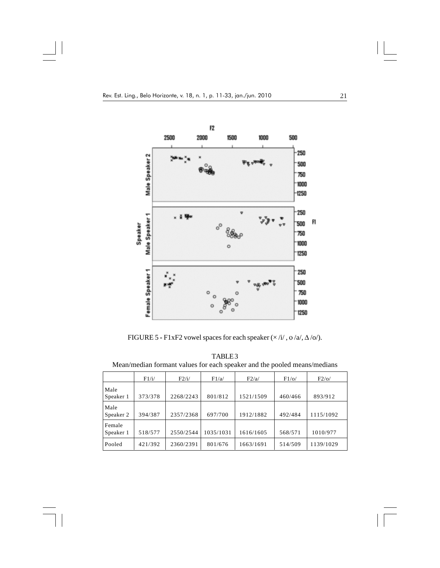$\begin{array}{c|c} \hline \hline \end{array}$ 

 $\overline{\overline{\phantom{a}}\phantom{a}}$ 



FIGURE 5 **-** F1xF2 vowel spaces for each speaker (× /i/ , ο /a/, Δ /o/).

TABLE 3 Mean/median formant values for each speaker and the pooled means/medians

|           | F1/i/   | F2/i/     | F1/a/     | F2/a/     | $F1$ /o/ | $F2$ /0/  |
|-----------|---------|-----------|-----------|-----------|----------|-----------|
| Male      |         |           |           |           |          |           |
| Speaker 1 | 373/378 | 2268/2243 | 801/812   | 1521/1509 | 460/466  | 893/912   |
| Male      |         |           |           |           |          |           |
| Speaker 2 | 394/387 | 2357/2368 | 697/700   | 1912/1882 | 492/484  | 1115/1092 |
| Female    |         |           |           |           |          |           |
| Speaker 1 | 518/577 | 2550/2544 | 1035/1031 | 1616/1605 | 568/571  | 1010/977  |
| Pooled    | 421/392 | 2360/2391 | 801/676   | 1663/1691 | 514/509  | 1139/1029 |

 $\sqrt{2}$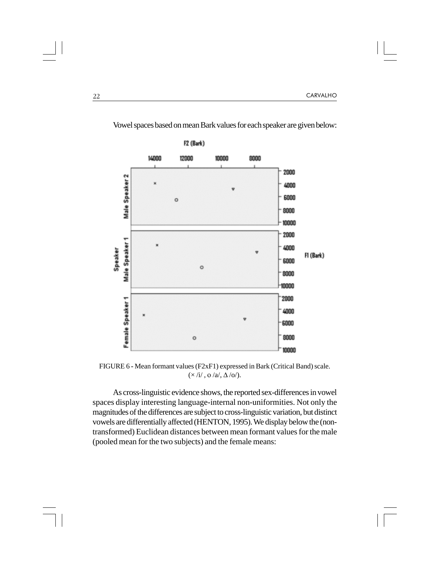

Vowel spaces based on mean Bark values for each speaker are given below:

FIGURE 6 **-** Mean formant values (F2xF1) expressed in Bark (Critical Band) scale.  $(\times /i/$ ,  $0 /a/$ ,  $\Delta /o/$ ).

As cross-linguistic evidence shows, the reported sex-differences in vowel spaces display interesting language-internal non-uniformities. Not only the magnitudes of the differences are subject to cross-linguistic variation, but distinct vowels are differentially affected (HENTON, 1995). We display below the (nontransformed) Euclidean distances between mean formant values for the male (pooled mean for the two subjects) and the female means: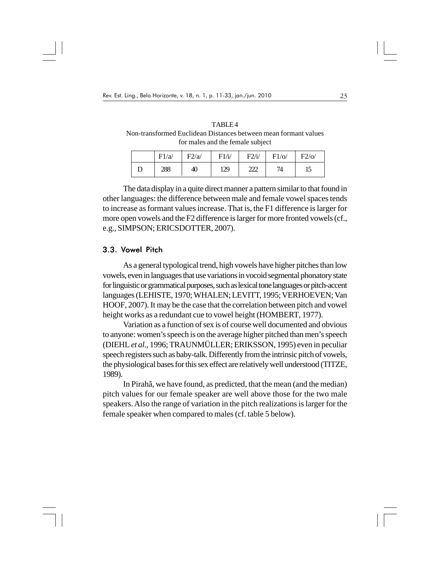TABLE 4 Non-transformed Euclidean Distances between mean formant values for males and the female subject

| F1/a/ | F2/a/ | F1/i/ | F2/i/                | $F1$ /o/ | $F2$ /o/ |
|-------|-------|-------|----------------------|----------|----------|
| 288   | 40    | 129   | າາາ<br><u>talata</u> | 74       | ⊥        |

The data display in a quite direct manner a pattern similar to that found in other languages: the difference between male and female vowel spaces tends to increase as formant values increase. That is, the F1 difference is larger for more open vowels and the F2 difference is larger for more fronted vowels (cf., e.g., SIMPSON; ERICSDOTTER, 2007).

#### 3.3. Vowel Pitch

As a general typological trend, high vowels have higher pitches than low vowels, even in languages that use variations in vocoid segmental phonatory state for linguistic or grammatical purposes, such as lexical tone languages or pitch-accent languages (LEHISTE, 1970; WHALEN; LEVITT, 1995; VERHOEVEN; Van HOOF, 2007). It may be the case that the correlation between pitch and vowel height works as a redundant cue to vowel height (HOMBERT, 1977).

Variation as a function of sex is of course well documented and obvious to anyone: women's speech is on the average higher pitched than men's speech (DIEHL *et al.,* 1996; TRAUNMÜLLER; ERIKSSON, 1995) even in peculiar speech registers such as baby-talk. Differently from the intrinsic pitch of vowels, the physiological bases for this sex effect are relatively well understood (TITZE, 1989).

In Pirahã, we have found, as predicted, that the mean (and the median) pitch values for our female speaker are well above those for the two male speakers. Also the range of variation in the pitch realizations is larger for the female speaker when compared to males (cf. table 5 below).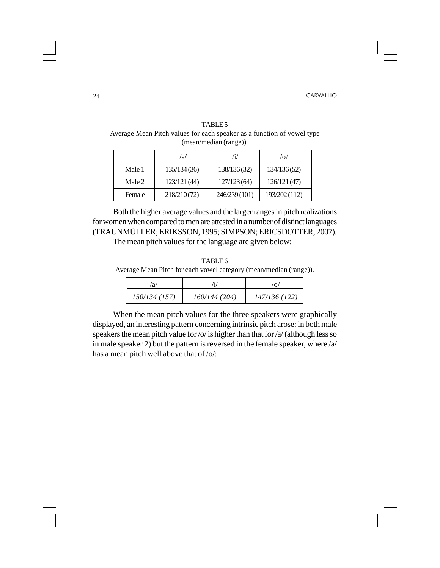|                                                                        |    | TABLE <sub>5</sub> |  |  |  |
|------------------------------------------------------------------------|----|--------------------|--|--|--|
| Average Mean Pitch values for each speaker as a function of vowel type |    |                    |  |  |  |
| (mean/median (range)).                                                 |    |                    |  |  |  |
|                                                                        | 'a |                    |  |  |  |

|        | /a/          | 'i/          | $\overline{O}$ |
|--------|--------------|--------------|----------------|
| Male 1 | 135/134(36)  | 138/136(32)  | 134/136(52)    |
| Male 2 | 123/121 (44) | 127/123(64)  | 126/121 (47)   |
| Female | 218/210(72)  | 246/239(101) | 193/202 (112)  |

Both the higher average values and the larger ranges in pitch realizations for women when compared to men are attested in a number of distinct languages (TRAUNMÜLLER; ERIKSSON, 1995; SIMPSON; ERICSDOTTER, 2007).

The mean pitch values for the language are given below:

TABLE 6 Average Mean Pitch for each vowel category (mean/median (range)).

| a            |              |               |
|--------------|--------------|---------------|
| 150/134(157) | 160/144(204) | 147/136 (122) |

When the mean pitch values for the three speakers were graphically displayed, an interesting pattern concerning intrinsic pitch arose: in both male speakers the mean pitch value for /o/ is higher than that for /a/ (although less so in male speaker 2) but the pattern is reversed in the female speaker, where /a/ has a mean pitch well above that of /o/: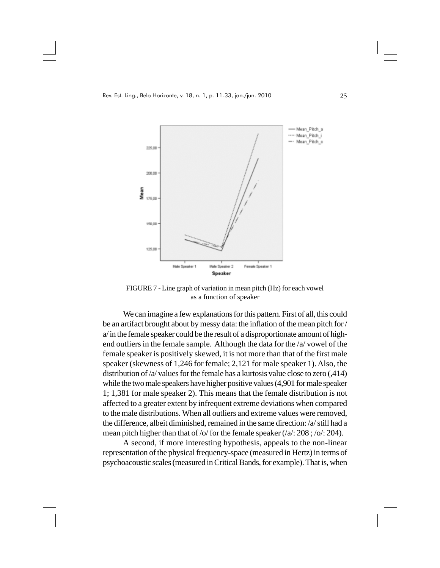

FIGURE 7 **-** Line graph of variation in mean pitch (Hz) for each vowel as a function of speaker

We can imagine a few explanations for this pattern. First of all, this could be an artifact brought about by messy data: the inflation of the mean pitch for / a/ in the female speaker could be the result of a disproportionate amount of highend outliers in the female sample. Although the data for the /a/ vowel of the female speaker is positively skewed, it is not more than that of the first male speaker (skewness of 1,246 for female; 2,121 for male speaker 1). Also, the distribution of /a/ values for the female has a kurtosis value close to zero (,414) while the two male speakers have higher positive values (4,901 for male speaker 1; 1,381 for male speaker 2). This means that the female distribution is not affected to a greater extent by infrequent extreme deviations when compared to the male distributions. When all outliers and extreme values were removed, the difference, albeit diminished, remained in the same direction: /a/ still had a mean pitch higher than that of /o/ for the female speaker (/a/: 208 ; /o/: 204).

A second, if more interesting hypothesis, appeals to the non-linear representation of the physical frequency-space (measured in Hertz) in terms of psychoacoustic scales (measured in Critical Bands, for example). That is, when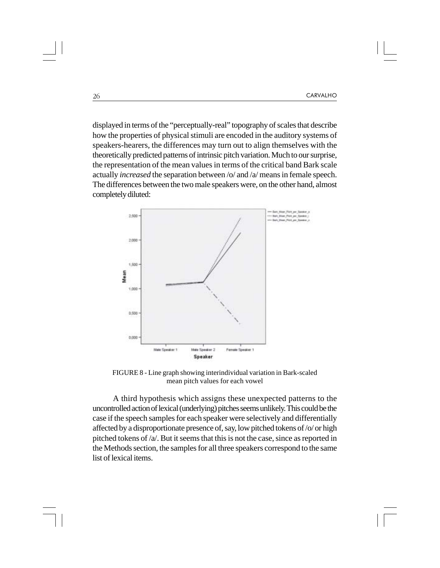displayed in terms of the "perceptually-real" topography of scales that describe how the properties of physical stimuli are encoded in the auditory systems of speakers-hearers, the differences may turn out to align themselves with the theoretically predicted patterns of intrinsic pitch variation. Much to our surprise, the representation of the mean values in terms of the critical band Bark scale actually *increased* the separation between /o/ and /a/ means in female speech. The differences between the two male speakers were, on the other hand, almost completely diluted:



FIGURE 8 - Line graph showing interindividual variation in Bark-scaled mean pitch values for each vowel

A third hypothesis which assigns these unexpected patterns to the uncontrolled action of lexical (underlying) pitches seems unlikely. This could be the case if the speech samples for each speaker were selectively and differentially affected by a disproportionate presence of, say, low pitched tokens of /o/ or high pitched tokens of /a/. But it seems that this is not the case, since as reported in the Methods section, the samples for all three speakers correspond to the same list of lexical items.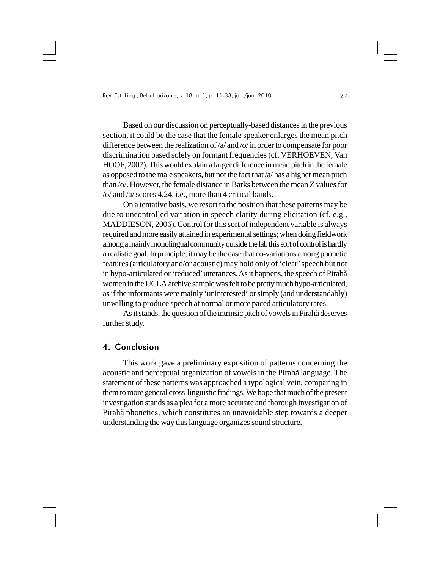Based on our discussion on perceptually-based distances in the previous section, it could be the case that the female speaker enlarges the mean pitch difference between the realization of /a/ and /o/ in order to compensate for poor discrimination based solely on formant frequencies (cf. VERHOEVEN; Van HOOF, 2007). This would explain a larger difference in mean pitch in the female as opposed to the male speakers, but not the fact that /a/ has a higher mean pitch than /o/. However, the female distance in Barks between the mean Z values for /o/ and /a/ scores 4,24, i.e., more than 4 critical bands.

On a tentative basis, we resort to the position that these patterns may be due to uncontrolled variation in speech clarity during elicitation (cf. e.g., MADDIESON, 2006). Control for this sort of independent variable is always required and more easily attained in experimental settings; when doing fieldwork among a mainly monolingual community outside the lab this sort of control is hardly a realistic goal. In principle, it may be the case that co-variations among phonetic features (articulatory and/or acoustic) may hold only of 'clear' speech but not in hypo-articulated or 'reduced' utterances. As it happens, the speech of Pirahã women in the UCLA archive sample was felt to be pretty much hypo-articulated, as if the informants were mainly 'uninterested' or simply (and understandably) unwilling to produce speech at normal or more paced articulatory rates.

As it stands, the question of the intrinsic pitch of vowels in Pirahã deserves further study.

#### 4. Conclusion

This work gave a preliminary exposition of patterns concerning the acoustic and perceptual organization of vowels in the Pirahã language. The statement of these patterns was approached a typological vein, comparing in them to more general cross-linguistic findings. We hope that much of the present investigation stands as a plea for a more accurate and thorough investigation of Pirahã phonetics, which constitutes an unavoidable step towards a deeper understanding the way this language organizes sound structure.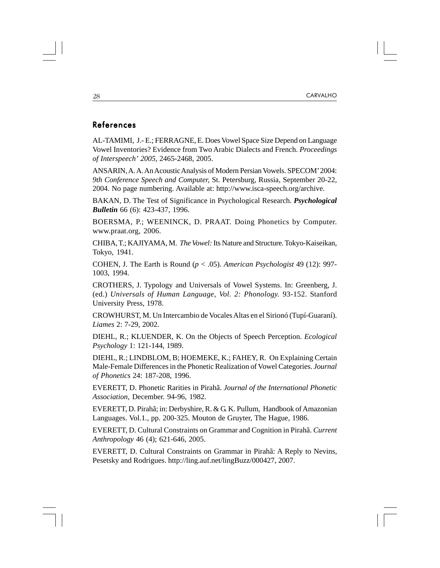### References

AL-TAMIMI, J.- E.; FERRAGNE, E. Does Vowel Space Size Depend on Language Vowel Inventories? Evidence from Two Arabic Dialects and French. *Proceedings of Interspeech' 2005*, 2465-2468, 2005.

ANSARIN, A. A. An Acoustic Analysis of Modern Persian Vowels. SPECOM' 2004: *9th Conference Speech and Computer,* St. Petersburg, Russia, September 20-22, 2004. No page numbering. Available at: http://www.isca-speech.org/archive.

BAKAN, D. The Test of Significance in Psychological Research. *Psychological Bulletin* 66 (6): 423-437, 1996.

BOERSMA, P.; WEENINCK, D. PRAAT. Doing Phonetics by Computer. www.praat.org, 2006.

CHIBA, T.; KAJIYAMA, M. *The Vowel:* Its Nature and Structure*.* Tokyo-Kaiseikan, Tokyo, 1941.

COHEN, J. The Earth is Round (*p* < .05). *American Psychologist* 49 (12): 997- 1003, 1994.

CROTHERS, J. Typology and Universals of Vowel Systems. In: Greenberg, J. (ed.) *Universals of Human Language, Vol. 2: Phonology.* 93-152. Stanford University Press, 1978.

CROWHURST, M. Un Intercambio de Vocales Altas en el Sirionó (Tupí-Guaraní). *Liames* 2: 7-29, 2002.

DIEHL, R.; KLUENDER, K. On the Objects of Speech Perception. *Ecological Psychology* 1: 121-144, 1989.

DIEHL, R.; LINDBLOM, B; HOEMEKE, K.; FAHEY, R. On Explaining Certain Male-Female Differences in the Phonetic Realization of Vowel Categories. *Journal of Phonetics* 24: 187-208, 1996.

EVERETT, D. Phonetic Rarities in Pirahã. *Journal of the International Phonetic Association,* December. 94-96, 1982.

EVERETT, D. Pirahã; in: Derbyshire, R. & G. K. Pullum, Handbook of Amazonian Languages. Vol.1*.*, pp. 200-325. Mouton de Gruyter, The Hague, 1986.

EVERETT, D. Cultural Constraints on Grammar and Cognition in Pirahã. *Current Anthropology* 46 (4); 621-646, 2005.

EVERETT, D. Cultural Constraints on Grammar in Pirahã: A Reply to Nevins, Pesetsky and Rodrigues. http://ling.auf.net/lingBuzz/000427, 2007.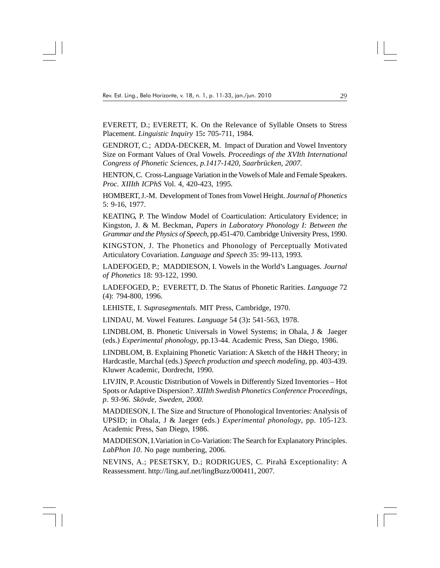EVERETT, D.; EVERETT, K. On the Relevance of Syllable Onsets to Stress Placement. *Linguistic Inquiry* 15**:** 705-711, 1984.

GENDROT, C.; ADDA-DECKER, M. Impact of Duration and Vowel Inventory Size on Formant Values of Oral Vowels. *Proceedings of the XVIth International Congress of Phonetic Sciences, p.1417-1420, Saarbrücken, 2007.*

HENTON, C. Cross-Language Variation in the Vowels of Male and Female Speakers. *Proc. XIIIth ICPhS* Vol. 4, 420-423, 1995.

HOMBERT, J.-M. Development of Tones from Vowel Height. *Journal of Phonetics* 5: 9-16, 1977.

KEATING, P. The Window Model of Coarticulation: Articulatory Evidence; in Kingston, J. & M. Beckman, *Papers in Laboratory Phonology I: Between the Grammar and the Physics of Speech,* pp.451-470. Cambridge University Press, 1990.

KINGSTON, J. The Phonetics and Phonology of Perceptually Motivated Articulatory Covariation. *Language and Speech* 35: 99-113, 1993.

LADEFOGED, P.; MADDIESON, I. Vowels in the World's Languages. *Journal of Phonetics* 18: 93-122, 1990.

LADEFOGED, P.; EVERETT, D. The Status of Phonetic Rarities. *Language* 72 (4): 794-800, 1996.

LEHISTE, I. *Suprasegmentals.* MIT Press, Cambridge, 1970.

LINDAU, M. Vowel Features. *Language* 54 (3)**:** 541-563, 1978.

LINDBLOM, B. Phonetic Universals in Vowel Systems; in Ohala, J & Jaeger (eds.) *Experimental phonology*, pp.13-44. Academic Press, San Diego, 1986.

LINDBLOM, B. Explaining Phonetic Variation: A Sketch of the H&H Theory; in Hardcastle, Marchal (eds.) *Speech production and speech modeling*, pp. 403-439. Kluwer Academic, Dordrecht, 1990.

LIVJIN, P. Acoustic Distribution of Vowels in Differently Sized Inventories – Hot Spots or Adaptive Dispersion?. *XIIIth Swedish Phonetics Conference Proceedings, p. 93-96. Skövde, Sweden, 2000.*

MADDIESON, I. The Size and Structure of Phonological Inventories: Analysis of UPSID; in Ohala, J & Jaeger (eds.) *Experimental phonology*, pp. 105-123. Academic Press, San Diego, 1986.

MADDIESON, I.Variation in Co-Variation: The Search for Explanatory Principles. *LabPhon 10*. No page numbering, 2006.

NEVINS, A.; PESETSKY, D.; RODRIGUES, C. Pirahã Exceptionality: A Reassessment. http://ling.auf.net/lingBuzz/000411, 2007.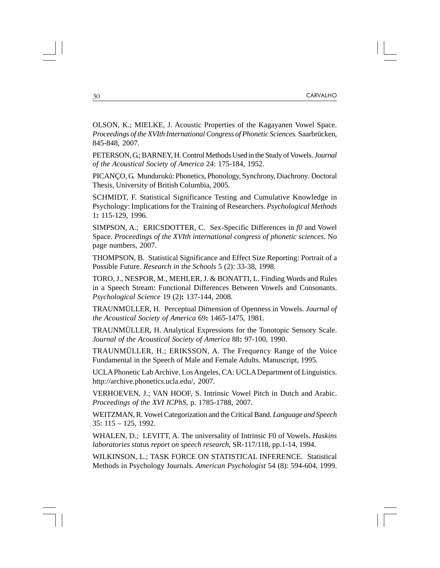OLSON, K.; MIELKE, J. Acoustic Properties of the Kagayanen Vowel Space. *Proceedings of the XVIth International Congress of Phonetic Sciences.* Saarbrücken, 845-848, 2007.

PETERSON, G.; BARNEY, H. Control Methods Used in the Study of Vowels. *Journal of the Acoustical Society of America* 24: 175-184, 1952.

PICANÇO, G. Mundurukú: Phonetics, Phonology, Synchrony, Diachrony*.* Doctoral Thesis, University of British Columbia, 2005.

SCHMIDT, F. Statistical Significance Testing and Cumulative Knowledge in Psychology: Implications for the Training of Researchers. *Psychological Methods* 1**:** 115-129, 1996.

SIMPSON, A.; ERICSDOTTER, C. Sex-Specific Differences in *f0* and Vowel Space. *Proceedings of the XVIth international congress of phonetic sciences*. No page numbers, 2007.

THOMPSON, B. Statistical Significance and Effect Size Reporting: Portrait of a Possible Future. *Research in the Schools* 5 (2): 33-38, 1998.

TORO, J., NESPOR, M., MEHLER, J. & BONATTI, L. Finding Words and Rules in a Speech Stream: Functional Differences Between Vowels and Consonants. *Psychological Science* 19 (2)**:** 137-144, 2008.

TRAUNMÜLLER, H. Perceptual Dimension of Openness in Vowels. *Journal of the Acoustical Society of America* 69**:** 1465-1475, 1981.

TRAUNMÜLLER, H. Analytical Expressions for the Tonotopic Sensory Scale. *Journal of the Acoustical Society of America* 88**:** 97-100, 1990.

TRAUNMÜLLER, H.; ERIKSSON, A. The Frequency Range of the Voice Fundamental in the Speech of Male and Female Adults. Manuscript, 1995.

UCLA Phonetic Lab Archive. Los Angeles, CA: UCLA Department of Linguistics. http://archive.phonetics.ucla.edu/, 2007.

VERHOEVEN, J.; VAN HOOF, S. Intrinsic Vowel Pitch in Dutch and Arabic. *Proceedings of the XVI ICPhS*, p. 1785-1788, 2007.

WEITZMAN, R. Vowel Categorization and the Critical Band. *Language and Speech* 35: 115 – 125, 1992.

WHALEN, D.; LEVITT, A. The universality of Intrinsic F0 of Vowels. *Haskins laboratories status report on speech research*, SR-117/118, pp.1-14, 1994.

WILKINSON, L.; TASK FORCE ON STATISTICAL INFERENCE. Statistical Methods in Psychology Journals. *American Psychologist* 54 (8): 594-604, 1999.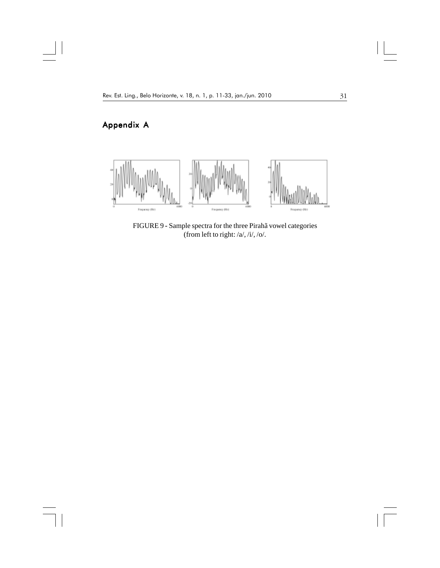# Appendix A

 $\mathbf{\underline{}}$ 

 $\overline{\phantom{a}}$ 



FIGURE 9 **-** Sample spectra for the three Pirahã vowel categories (from left to right:  $/a$ ,  $/i$ ,  $/o$ .

 $\sqrt{1}$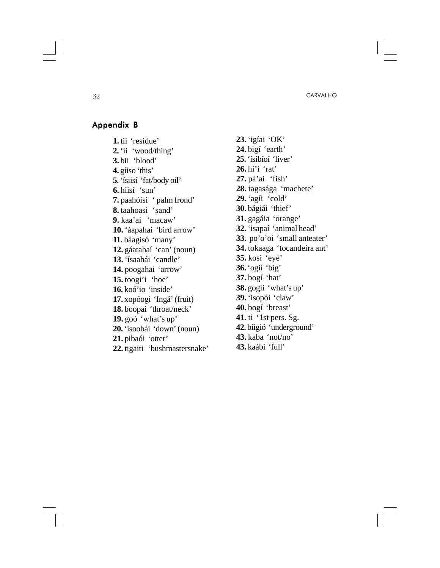#### Appendix B

**1.** tii 'residue' **2.** 'ii 'wood/thing' **3.** bii 'blood' **4.** gíiso 'this' **5.** 'ísiisí 'fat/body oil' **6.** hiisí 'sun' **7.** paahóisi ' palm frond' **8.** taahoasi 'sand' **9.** kaa'ai 'macaw' **10.** 'áapahai 'bird arrow' **11.** báagisó 'many' **12.** gáatahaí 'can' (noun) **13.** 'ísaahái 'candle' **14.** poogahai 'arrow' **15.** toogi'i 'hoe' **16.** koó'io 'inside' **17.** xopóogi 'Ingá' (fruit) **18.** boopai 'throat/neck' **19.** goó 'what's up' **20.** 'isoobái 'down' (noun) **21.** pibaói 'otter' **22.** tigaiti 'bushmastersnake' **23.** 'igíai 'OK' **24.** bigí 'earth' **25.** 'ísibíoí 'liver' **26.** hí'í 'rat' **27.** pá'ai 'fish' **28.** tagasága 'machete' **29.** 'agíi 'cold' **30.** bágiái 'thief' **31.** gagáia 'orange' **32.** 'isapaí 'animal head' **33.** po'o'oi 'small anteater' **34.** tokaaga 'tocandeira ant' **35.** kosi 'eye' **36.** 'ogií 'big' **37.** bogí 'hat' **38.** gogíi 'what's up' **39.** 'isopói 'claw' **40.** bogí 'breast' **41.** ti '1st pers. Sg. **42.** bíigió 'underground' **43.** kaba 'not/no' **43.** kaábi 'full'